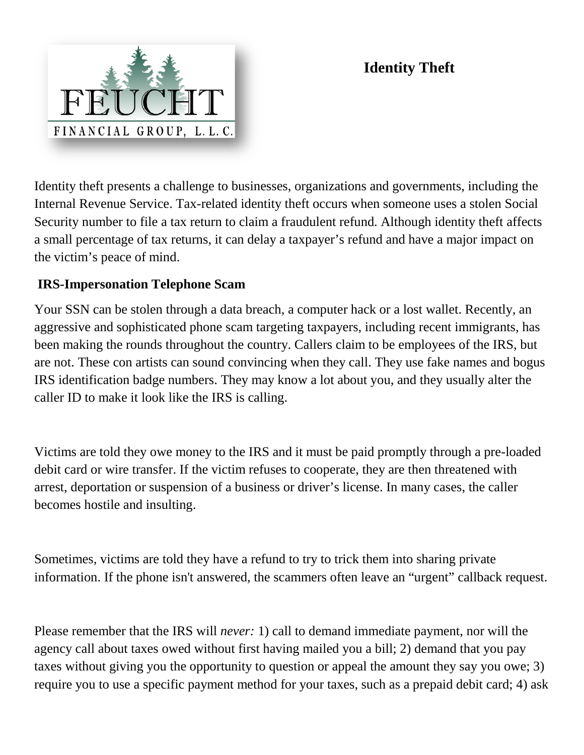# **Identity Theft**



Identity theft presents a challenge to businesses, organizations and governments, including the Internal Revenue Service. Tax-related identity theft occurs when someone uses a stolen Social Security number to file a tax return to claim a fraudulent refund. Although identity theft affects a small percentage of tax returns, it can delay a taxpayer's refund and have a major impact on the victim's peace of mind.

#### **IRS-Impersonation Telephone Scam**

Your SSN can be stolen through a data breach, a computer hack or a lost wallet. Recently, an aggressive and sophisticated phone scam targeting taxpayers, including recent immigrants, has been making the rounds throughout the country. Callers claim to be employees of the IRS, but are not. These con artists can sound convincing when they call. They use fake names and bogus IRS identification badge numbers. They may know a lot about you, and they usually alter the caller ID to make it look like the IRS is calling.

Victims are told they owe money to the IRS and it must be paid promptly through a pre-loaded debit card or wire transfer. If the victim refuses to cooperate, they are then threatened with arrest, deportation or suspension of a business or driver's license. In many cases, the caller becomes hostile and insulting.

Sometimes, victims are told they have a refund to try to trick them into sharing private information. If the phone isn't answered, the scammers often leave an "urgent" callback request.

Please remember that the IRS will *never:* 1) call to demand immediate payment, nor will the agency call about taxes owed without first having mailed you a bill; 2) demand that you pay taxes without giving you the opportunity to question or appeal the amount they say you owe; 3) require you to use a specific payment method for your taxes, such as a prepaid debit card; 4) ask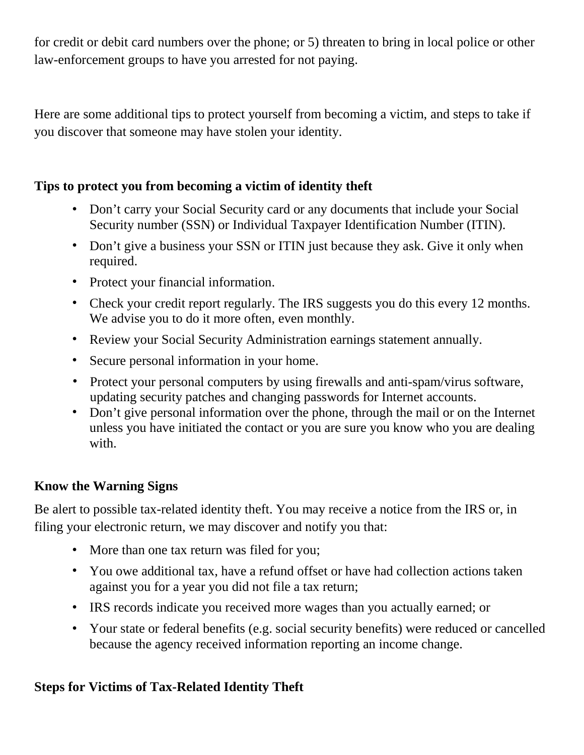for credit or debit card numbers over the phone; or 5) threaten to bring in local police or other law-enforcement groups to have you arrested for not paying.

Here are some additional tips to protect yourself from becoming a victim, and steps to take if you discover that someone may have stolen your identity.

#### **Tips to protect you from becoming a victim of identity theft**

- Don't carry your Social Security card or any documents that include your Social Security number (SSN) or Individual Taxpayer Identification Number (ITIN).
- Don't give a business your SSN or ITIN just because they ask. Give it only when required.
- Protect your financial information.
- Check your credit report regularly. The IRS suggests you do this every 12 months. We advise you to do it more often, even monthly.
- Review your Social Security Administration earnings statement annually.
- Secure personal information in your home.
- Protect your personal computers by using firewalls and anti-spam/virus software, updating security patches and changing passwords for Internet accounts.
- Don't give personal information over the phone, through the mail or on the Internet unless you have initiated the contact or you are sure you know who you are dealing with.

### **Know the Warning Signs**

Be alert to possible tax-related identity theft. You may receive a notice from the IRS or, in filing your electronic return, we may discover and notify you that:

- More than one tax return was filed for you;
- You owe additional tax, have a refund offset or have had collection actions taken against you for a year you did not file a tax return;
- IRS records indicate you received more wages than you actually earned; or
- Your state or federal benefits (e.g. social security benefits) were reduced or cancelled because the agency received information reporting an income change.

## **Steps for Victims of Tax-Related Identity Theft**